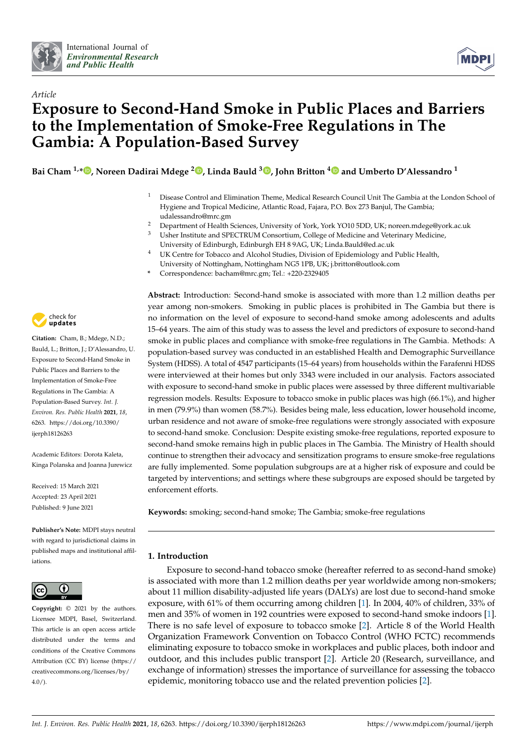

*Article*



# **Exposure to Second-Hand Smoke in Public Places and Barriers to the Implementation of Smoke-Free Regulations in The Gambia: A Population-Based Survey**

**Bai Cham 1,[\\*](https://orcid.org/0000-0002-1656-2126) , Noreen Dadirai Mdege <sup>2</sup> [,](https://orcid.org/0000-0003-3189-3473) Linda Bauld <sup>3</sup> [,](https://orcid.org/0000-0001-7411-4260) John Britton [4](https://orcid.org/0000-0001-6375-3841) and Umberto D'Alessandro <sup>1</sup>**

- <sup>1</sup> Disease Control and Elimination Theme, Medical Research Council Unit The Gambia at the London School of Hygiene and Tropical Medicine, Atlantic Road, Fajara, P.O. Box 273 Banjul, The Gambia; udalessandro@mrc.gm
- <sup>2</sup> Department of Health Sciences, University of York, York YO10 5DD, UK; noreen.mdege@york.ac.uk<br><sup>3</sup> Ushar Institute and SDECTRUM Consertium, College of Medicine and Veterinam: Medicine Usher Institute and SPECTRUM Consortium, College of Medicine and Veterinary Medicine,
- University of Edinburgh, Edinburgh EH 8 9AG, UK; Linda.Bauld@ed.ac.uk UK Centre for Tobacco and Alcohol Studies, Division of Epidemiology and Public Health,
	- University of Nottingham, Nottingham NG5 1PB, UK; j.britton@outlook.com
- **\*** Correspondence: bacham@mrc.gm; Tel.: +220-2329405



**Citation:** Cham, B.; Mdege, N.D.; Bauld, L.; Britton, J.; D'Alessandro, U. Exposure to Second-Hand Smoke in Public Places and Barriers to the Implementation of Smoke-Free Regulations in The Gambia: A Population-Based Survey. *Int. J. Environ. Res. Public Health* **2021**, *18*, 6263. [https://doi.org/10.3390/](https://doi.org/10.3390/ijerph18126263) [ijerph18126263](https://doi.org/10.3390/ijerph18126263)

Academic Editors: Dorota Kaleta, Kinga Polanska and Joanna Jurewicz

Received: 15 March 2021 Accepted: 23 April 2021 Published: 9 June 2021

**Publisher's Note:** MDPI stays neutral with regard to jurisdictional claims in published maps and institutional affiliations.



**Copyright:** © 2021 by the authors. Licensee MDPI, Basel, Switzerland. This article is an open access article distributed under the terms and conditions of the Creative Commons Attribution (CC BY) license (https:/[/](https://creativecommons.org/licenses/by/4.0/) [creativecommons.org/licenses/by/](https://creativecommons.org/licenses/by/4.0/)  $4.0/$ ).

**Abstract:** Introduction: Second-hand smoke is associated with more than 1.2 million deaths per year among non-smokers. Smoking in public places is prohibited in The Gambia but there is no information on the level of exposure to second-hand smoke among adolescents and adults 15–64 years. The aim of this study was to assess the level and predictors of exposure to second-hand smoke in public places and compliance with smoke-free regulations in The Gambia. Methods: A population-based survey was conducted in an established Health and Demographic Surveillance System (HDSS). A total of 4547 participants (15–64 years) from households within the Farafenni HDSS were interviewed at their homes but only 3343 were included in our analysis. Factors associated with exposure to second-hand smoke in public places were assessed by three different multivariable regression models. Results: Exposure to tobacco smoke in public places was high (66.1%), and higher in men (79.9%) than women (58.7%). Besides being male, less education, lower household income, urban residence and not aware of smoke-free regulations were strongly associated with exposure to second-hand smoke. Conclusion: Despite existing smoke-free regulations, reported exposure to second-hand smoke remains high in public places in The Gambia. The Ministry of Health should continue to strengthen their advocacy and sensitization programs to ensure smoke-free regulations are fully implemented. Some population subgroups are at a higher risk of exposure and could be targeted by interventions; and settings where these subgroups are exposed should be targeted by enforcement efforts.

**Keywords:** smoking; second-hand smoke; The Gambia; smoke-free regulations

# **1. Introduction**

Exposure to second-hand tobacco smoke (hereafter referred to as second-hand smoke) is associated with more than 1.2 million deaths per year worldwide among non-smokers; about 11 million disability-adjusted life years (DALYs) are lost due to second-hand smoke exposure, with 61% of them occurring among children [\[1\]](#page-10-0). In 2004, 40% of children, 33% of men and 35% of women in 192 countries were exposed to second-hand smoke indoors [\[1\]](#page-10-0). There is no safe level of exposure to tobacco smoke [\[2\]](#page-10-1). Article 8 of the World Health Organization Framework Convention on Tobacco Control (WHO FCTC) recommends eliminating exposure to tobacco smoke in workplaces and public places, both indoor and outdoor, and this includes public transport [\[2\]](#page-10-1). Article 20 (Research, surveillance, and exchange of information) stresses the importance of surveillance for assessing the tobacco epidemic, monitoring tobacco use and the related prevention policies [\[2\]](#page-10-1).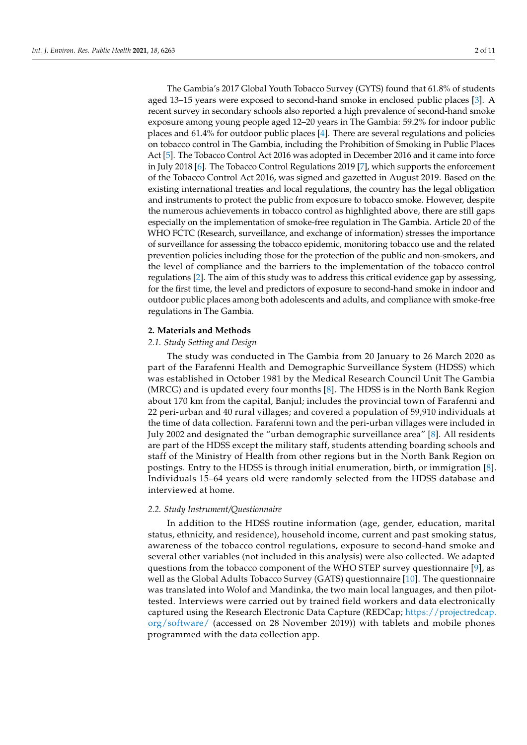The Gambia's 2017 Global Youth Tobacco Survey (GYTS) found that 61.8% of students aged 13–15 years were exposed to second-hand smoke in enclosed public places [\[3\]](#page-10-2). A recent survey in secondary schools also reported a high prevalence of second-hand smoke exposure among young people aged 12–20 years in The Gambia: 59.2% for indoor public places and  $61.4\%$  for outdoor public places  $[4]$ . There are several regulations and policies on tobacco control in The Gambia, including the Prohibition of Smoking in Public Places Act [\[5\]](#page-10-4). The Tobacco Control Act 2016 was adopted in December 2016 and it came into force in July 2018 [\[6\]](#page-10-5). The Tobacco Control Regulations 2019 [\[7\]](#page-10-6), which supports the enforcement of the Tobacco Control Act 2016, was signed and gazetted in August 2019. Based on the existing international treaties and local regulations, the country has the legal obligation and instruments to protect the public from exposure to tobacco smoke. However, despite the numerous achievements in tobacco control as highlighted above, there are still gaps especially on the implementation of smoke-free regulation in The Gambia. Article 20 of the WHO FCTC (Research, surveillance, and exchange of information) stresses the importance of surveillance for assessing the tobacco epidemic, monitoring tobacco use and the related prevention policies including those for the protection of the public and non-smokers, and the level of compliance and the barriers to the implementation of the tobacco control regulations [\[2\]](#page-10-1). The aim of this study was to address this critical evidence gap by assessing, for the first time, the level and predictors of exposure to second-hand smoke in indoor and outdoor public places among both adolescents and adults, and compliance with smoke-free regulations in The Gambia.

## **2. Materials and Methods**

# *2.1. Study Setting and Design*

The study was conducted in The Gambia from 20 January to 26 March 2020 as part of the Farafenni Health and Demographic Surveillance System (HDSS) which was established in October 1981 by the Medical Research Council Unit The Gambia (MRCG) and is updated every four months [\[8\]](#page-10-7). The HDSS is in the North Bank Region about 170 km from the capital, Banjul; includes the provincial town of Farafenni and 22 peri-urban and 40 rural villages; and covered a population of 59,910 individuals at the time of data collection. Farafenni town and the peri-urban villages were included in July 2002 and designated the "urban demographic surveillance area" [\[8\]](#page-10-7). All residents are part of the HDSS except the military staff, students attending boarding schools and staff of the Ministry of Health from other regions but in the North Bank Region on postings. Entry to the HDSS is through initial enumeration, birth, or immigration [\[8\]](#page-10-7). Individuals 15–64 years old were randomly selected from the HDSS database and interviewed at home.

## *2.2. Study Instrument/Questionnaire*

In addition to the HDSS routine information (age, gender, education, marital status, ethnicity, and residence), household income, current and past smoking status, awareness of the tobacco control regulations, exposure to second-hand smoke and several other variables (not included in this analysis) were also collected. We adapted questions from the tobacco component of the WHO STEP survey questionnaire [\[9\]](#page-10-8), as well as the Global Adults Tobacco Survey (GATS) questionnaire [\[10\]](#page-10-9). The questionnaire was translated into Wolof and Mandinka, the two main local languages, and then pilottested. Interviews were carried out by trained field workers and data electronically captured using the Research Electronic Data Capture (REDCap; [https://projectredcap.](https://projectredcap.org/software/) [org/software/](https://projectredcap.org/software/) (accessed on 28 November 2019)) with tablets and mobile phones programmed with the data collection app.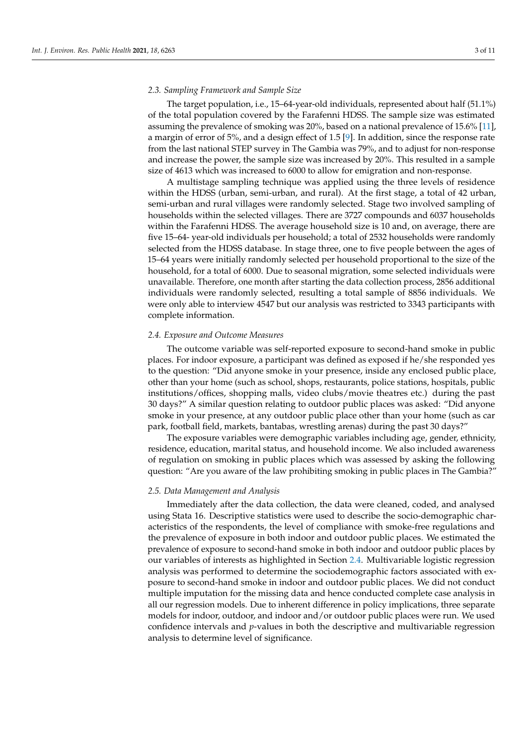## *2.3. Sampling Framework and Sample Size*

The target population, i.e., 15–64-year-old individuals, represented about half (51.1%) of the total population covered by the Farafenni HDSS. The sample size was estimated assuming the prevalence of smoking was 20%, based on a national prevalence of 15.6% [\[11\]](#page-10-10), a margin of error of 5%, and a design effect of 1.5 [\[9\]](#page-10-8). In addition, since the response rate from the last national STEP survey in The Gambia was 79%, and to adjust for non-response and increase the power, the sample size was increased by 20%. This resulted in a sample size of 4613 which was increased to 6000 to allow for emigration and non-response.

A multistage sampling technique was applied using the three levels of residence within the HDSS (urban, semi-urban, and rural). At the first stage, a total of 42 urban, semi-urban and rural villages were randomly selected. Stage two involved sampling of households within the selected villages. There are 3727 compounds and 6037 households within the Farafenni HDSS. The average household size is 10 and, on average, there are five 15–64- year-old individuals per household; a total of 2532 households were randomly selected from the HDSS database. In stage three, one to five people between the ages of 15–64 years were initially randomly selected per household proportional to the size of the household, for a total of 6000. Due to seasonal migration, some selected individuals were unavailable. Therefore, one month after starting the data collection process, 2856 additional individuals were randomly selected, resulting a total sample of 8856 individuals. We were only able to interview 4547 but our analysis was restricted to 3343 participants with complete information.

## <span id="page-2-0"></span>*2.4. Exposure and Outcome Measures*

The outcome variable was self-reported exposure to second-hand smoke in public places. For indoor exposure, a participant was defined as exposed if he/she responded yes to the question: "Did anyone smoke in your presence, inside any enclosed public place, other than your home (such as school, shops, restaurants, police stations, hospitals, public institutions/offices, shopping malls, video clubs/movie theatres etc.) during the past 30 days?" A similar question relating to outdoor public places was asked: "Did anyone smoke in your presence, at any outdoor public place other than your home (such as car park, football field, markets, bantabas, wrestling arenas) during the past 30 days?"

The exposure variables were demographic variables including age, gender, ethnicity, residence, education, marital status, and household income. We also included awareness of regulation on smoking in public places which was assessed by asking the following question: "Are you aware of the law prohibiting smoking in public places in The Gambia?"

## *2.5. Data Management and Analysis*

Immediately after the data collection, the data were cleaned, coded, and analysed using Stata 16. Descriptive statistics were used to describe the socio-demographic characteristics of the respondents, the level of compliance with smoke-free regulations and the prevalence of exposure in both indoor and outdoor public places. We estimated the prevalence of exposure to second-hand smoke in both indoor and outdoor public places by our variables of interests as highlighted in Section [2.4.](#page-2-0) Multivariable logistic regression analysis was performed to determine the sociodemographic factors associated with exposure to second-hand smoke in indoor and outdoor public places. We did not conduct multiple imputation for the missing data and hence conducted complete case analysis in all our regression models. Due to inherent difference in policy implications, three separate models for indoor, outdoor, and indoor and/or outdoor public places were run. We used confidence intervals and *p*-values in both the descriptive and multivariable regression analysis to determine level of significance.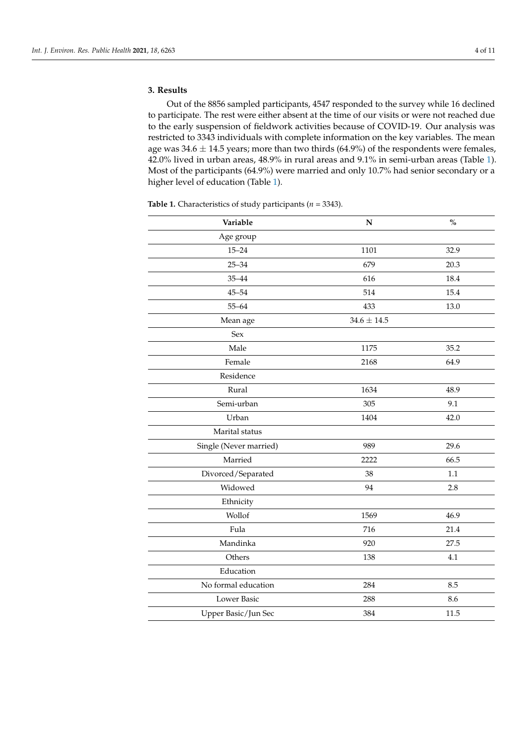# **3. Results**

Out of the 8856 sampled participants, 4547 responded to the survey while 16 declined to participate. The rest were either absent at the time of our visits or were not reached due to the early suspension of fieldwork activities because of COVID-19. Our analysis was restricted to 3343 individuals with complete information on the key variables. The mean age was  $34.6 \pm 14.5$  years; more than two thirds (64.9%) of the respondents were females, 42.0% lived in urban areas, 48.9% in rural areas and 9.1% in semi-urban areas (Table [1\)](#page-4-0). Most of the participants (64.9%) were married and only 10.7% had senior secondary or a higher level of education (Table [1\)](#page-4-0).

| Variable               | ${\bf N}$       | $\%$ |
|------------------------|-----------------|------|
| Age group              |                 |      |
| $15 - 24$              | 1101            | 32.9 |
| $25 - 34$              | 679             | 20.3 |
| $35 - 44$              | 616             | 18.4 |
| $45 - 54$              | 514             | 15.4 |
| $55 - 64$              | 433             | 13.0 |
| Mean age               | $34.6 \pm 14.5$ |      |
| <b>Sex</b>             |                 |      |
| Male                   | 1175            | 35.2 |
| Female                 | 2168            | 64.9 |
| Residence              |                 |      |
| Rural                  | 1634            | 48.9 |
| Semi-urban             | 305             | 9.1  |
| Urban                  | 1404            | 42.0 |
| Marital status         |                 |      |
| Single (Never married) | 989             | 29.6 |
| Married                | 2222            | 66.5 |
| Divorced/Separated     | 38              | 1.1  |
| Widowed                | 94              | 2.8  |
| Ethnicity              |                 |      |
| Wollof                 | 1569            | 46.9 |
| Fula                   | 716             | 21.4 |
| Mandinka               | 920             | 27.5 |
| Others                 | 138             | 4.1  |
| Education              |                 |      |
| No formal education    | 284             | 8.5  |
| <b>Lower Basic</b>     | 288             | 8.6  |
| Upper Basic/Jun Sec    | 384             | 11.5 |
|                        |                 |      |

**Table 1.** Characteristics of study participants (*n* = 3343).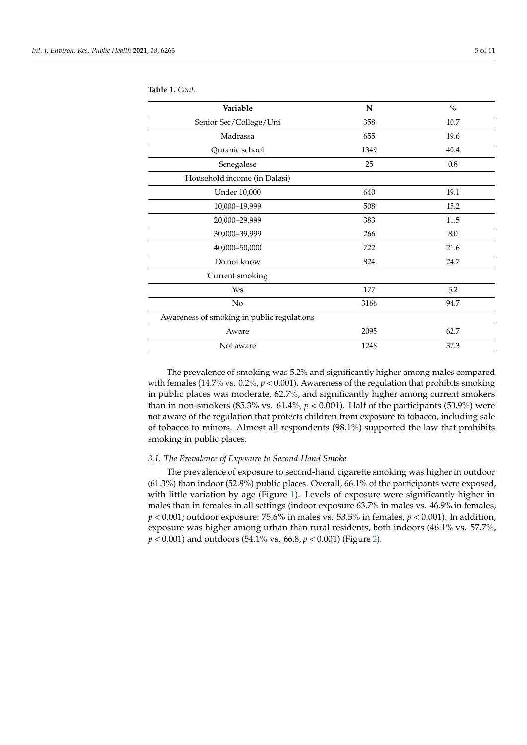| Variable                                   | $\mathbf N$ | $\%$ |
|--------------------------------------------|-------------|------|
| Senior Sec/College/Uni                     | 358         | 10.7 |
| Madrassa                                   | 655         | 19.6 |
| Quranic school                             | 1349        | 40.4 |
| Senegalese                                 | 25          | 0.8  |
| Household income (in Dalasi)               |             |      |
| <b>Under 10,000</b>                        | 640         | 19.1 |
| 10,000-19,999                              | 508         | 15.2 |
| 20,000-29,999                              | 383         | 11.5 |
| 30,000-39,999                              | 266         | 8.0  |
| 40,000 - 50,000                            | 722         | 21.6 |
| Do not know                                | 824         | 24.7 |
| Current smoking                            |             |      |
| Yes                                        | 177         | 5.2  |
| No                                         | 3166        | 94.7 |
| Awareness of smoking in public regulations |             |      |
| Aware                                      | 2095        | 62.7 |
| Not aware                                  | 1248        | 37.3 |

<span id="page-4-0"></span>**Table 1.** *Cont.*

The prevalence of smoking was 5.2% and significantly higher among males compared with females (14.7% vs.  $0.2\%$ ,  $p < 0.001$ ). Awareness of the regulation that prohibits smoking in public places was moderate, 62.7%, and significantly higher among current smokers than in non-smokers (85.3% vs. 61.4%,  $p < 0.001$ ). Half of the participants (50.9%) were not aware of the regulation that protects children from exposure to tobacco, including sale of tobacco to minors. Almost all respondents (98.1%) supported the law that prohibits smoking in public places.

# *3.1. The Prevalence of Exposure to Second-Hand Smoke*

The prevalence of exposure to second-hand cigarette smoking was higher in outdoor (61.3%) than indoor (52.8%) public places. Overall, 66.1% of the participants were exposed, with little variation by age (Figure [1\)](#page-5-0). Levels of exposure were significantly higher in males than in females in all settings (indoor exposure 63.7% in males vs. 46.9% in females, *p* < 0.001; outdoor exposure: 75.6% in males vs. 53.5% in females, *p* < 0.001). In addition, exposure was higher among urban than rural residents, both indoors (46.1% vs. 57.7%, *p* < 0.001) and outdoors (54.1% vs. 66.8, *p* < 0.001) (Figure [2\)](#page-5-1).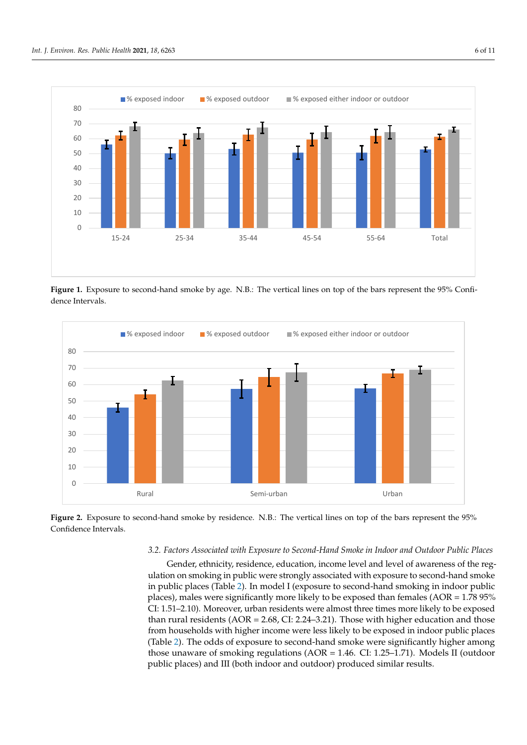<span id="page-5-0"></span>

Figure 1. Exposure to second-hand smoke by age. N.B.: The vertical lines on top of the bars represent the 95% Confidence Intervals.

<span id="page-5-1"></span>

Figure 2. Exposure to second-hand smoke by residence. N.B.: The vertical lines on top of the bars represent the 95% Confidence Intervals.

# *3.2. Factors Associated with Exposure to Second-Hand Smoke in Indoor and Outdoor Public 3.2. Factors Associated with Exposure to Second-Hand Smoke in Indoor and Outdoor Public Places*

*Places* ulation on smoking in public were strongly associated with exposure to second-hand smoke in public places (Table [2\)](#page-7-0). In model I (exposure to second-hand smoking in indoor public places), males were significantly more likely to be exposed than females (AOR =  $1.78$  95% CI: 1.51-2.10). Moreover, urban residents were almost three times more likely to be exposed than rural residents ( $AOR = 2.68$ , CI: 2.24–3.21). Those with higher education and those from households with higher income were less likely to be exposed in indoor public places (Table [2\)](#page-7-0). The odds of exposure to second-hand smoke were significantly higher among those unaware of smoking regulations (AOR = 1.46. CI: 1.25–1.71). Models II (outdoor public places) and III (both indoor and outdoor) produced similar results. Gender, ethnicity, residence, education, income level and level of awareness of the reg-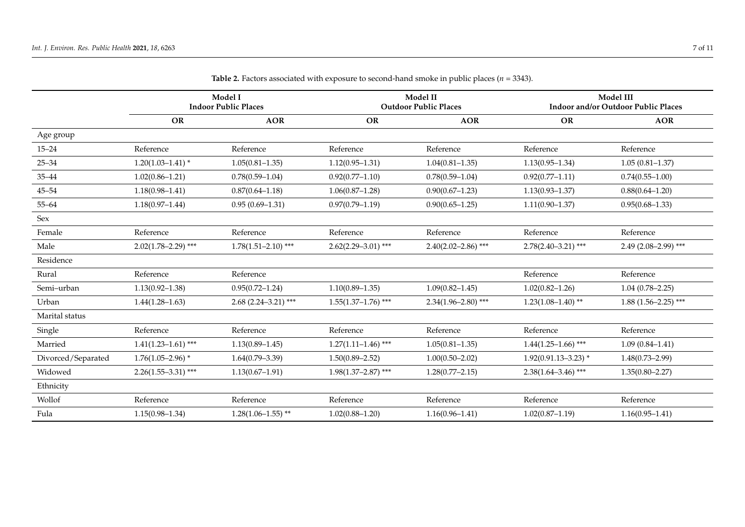|                    | Model I<br><b>Indoor Public Places</b> |                         | Model II<br><b>Outdoor Public Places</b> |                         | Model III<br>Indoor and/or Outdoor Public Places |                       |
|--------------------|----------------------------------------|-------------------------|------------------------------------------|-------------------------|--------------------------------------------------|-----------------------|
|                    | OR                                     | <b>AOR</b>              | <b>OR</b>                                | <b>AOR</b>              | <b>OR</b>                                        | <b>AOR</b>            |
| Age group          |                                        |                         |                                          |                         |                                                  |                       |
| $15 - 24$          | Reference                              | Reference               | Reference                                | Reference               | Reference                                        | Reference             |
| $25 - 34$          | $1.20(1.03 - 1.41)$ *                  | $1.05(0.81 - 1.35)$     | $1.12(0.95 - 1.31)$                      | $1.04(0.81 - 1.35)$     | $1.13(0.95 - 1.34)$                              | $1.05(0.81 - 1.37)$   |
| $35 - 44$          | $1.02(0.86 - 1.21)$                    | $0.78(0.59 - 1.04)$     | $0.92(0.77 - 1.10)$                      | $0.78(0.59 - 1.04)$     | $0.92(0.77 - 1.11)$                              | $0.74(0.55 - 1.00)$   |
| $45 - 54$          | $1.18(0.98 - 1.41)$                    | $0.87(0.64 - 1.18)$     | $1.06(0.87 - 1.28)$                      | $0.90(0.67 - 1.23)$     | $1.13(0.93 - 1.37)$                              | $0.88(0.64 - 1.20)$   |
| $55 - 64$          | $1.18(0.97 - 1.44)$                    | $0.95(0.69-1.31)$       | $0.97(0.79 - 1.19)$                      | $0.90(0.65 - 1.25)$     | $1.11(0.90 - 1.37)$                              | $0.95(0.68 - 1.33)$   |
| Sex                |                                        |                         |                                          |                         |                                                  |                       |
| Female             | Reference                              | Reference               | Reference                                | Reference               | Reference                                        | Reference             |
| Male               | $2.02(1.78 - 2.29)$ ***                | $1.78(1.51 - 2.10)$ *** | $2.62(2.29 - 3.01)$ ***                  | $2.40(2.02 - 2.86)$ *** | $2.78(2.40 - 3.21)$ ***                          | $2.49(2.08-2.99)$ *** |
| Residence          |                                        |                         |                                          |                         |                                                  |                       |
| Rural              | Reference                              | Reference               |                                          |                         | Reference                                        | Reference             |
| Semi-urban         | $1.13(0.92 - 1.38)$                    | $0.95(0.72 - 1.24)$     | $1.10(0.89 - 1.35)$                      | $1.09(0.82 - 1.45)$     | $1.02(0.82 - 1.26)$                              | $1.04(0.78 - 2.25)$   |
| Urban              | $1.44(1.28 - 1.63)$                    | $2.68$ (2.24–3.21) ***  | $1.55(1.37-1.76)$ ***                    | $2.34(1.96 - 2.80)$ *** | $1.23(1.08 - 1.40)$ **                           | $1.88(1.56-2.25)$ *** |
| Marital status     |                                        |                         |                                          |                         |                                                  |                       |
| Single             | Reference                              | Reference               | Reference                                | Reference               | Reference                                        | Reference             |
| Married            | $1.41(1.23 - 1.61)$ ***                | $1.13(0.89 - 1.45)$     | $1.27(1.11 - 1.46)$ ***                  | $1.05(0.81 - 1.35)$     | $1.44(1.25-1.66)$ ***                            | $1.09(0.84 - 1.41)$   |
| Divorced/Separated | $1.76(1.05 - 2.96)$ *                  | $1.64(0.79 - 3.39)$     | $1.50(0.89 - 2.52)$                      | $1.00(0.50 - 2.02)$     | $1.92(0.91.13 - 3.23)$ *                         | $1.48(0.73 - 2.99)$   |
| Widowed            | $2.26(1.55 - 3.31)$ ***                | $1.13(0.67 - 1.91)$     | $1.98(1.37 - 2.87)$ ***                  | $1.28(0.77 - 2.15)$     | $2.38(1.64 - 3.46)$ ***                          | $1.35(0.80 - 2.27)$   |
| Ethnicity          |                                        |                         |                                          |                         |                                                  |                       |
| Wollof             | Reference                              | Reference               | Reference                                | Reference               | Reference                                        | Reference             |
| Fula               | $1.15(0.98 - 1.34)$                    | $1.28(1.06 - 1.55)$ **  | $1.02(0.88 - 1.20)$                      | $1.16(0.96 - 1.41)$     | $1.02(0.87 - 1.19)$                              | $1.16(0.95 - 1.41)$   |

**Table 2.** Factors associated with exposure to second-hand smoke in public places ( $n = 3343$ ).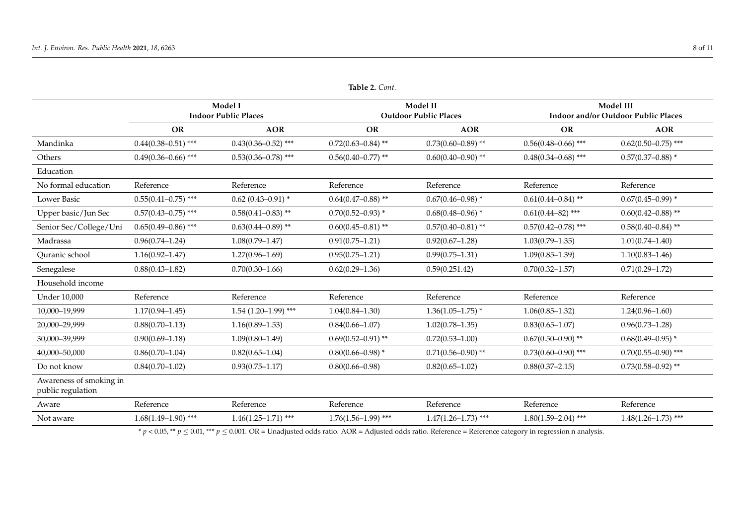|                                              | Model I<br><b>Indoor Public Places</b> |                         |                         | Model II<br><b>Outdoor Public Places</b> |                         | Model III<br>Indoor and/or Outdoor Public Places |  |
|----------------------------------------------|----------------------------------------|-------------------------|-------------------------|------------------------------------------|-------------------------|--------------------------------------------------|--|
|                                              | <b>OR</b>                              | <b>AOR</b>              | <b>OR</b>               | <b>AOR</b>                               | <b>OR</b>               | <b>AOR</b>                                       |  |
| Mandinka                                     | $0.44(0.38 - 0.51)$ ***                | $0.43(0.36 - 0.52)$ *** | $0.72(0.63 - 0.84)$ **  | $0.73(0.60 - 0.89)$ **                   | $0.56(0.48 - 0.66)$ *** | $0.62(0.50 - 0.75)$ ***                          |  |
| Others                                       | $0.49(0.36 - 0.66)$ ***                | $0.53(0.36 - 0.78)$ *** | $0.56(0.40 - 0.77)$ **  | $0.60(0.40 - 0.90)$ **                   | $0.48(0.34 - 0.68)$ *** | $0.57(0.37-0.88)$ *                              |  |
| Education                                    |                                        |                         |                         |                                          |                         |                                                  |  |
| No formal education                          | Reference                              | Reference               | Reference               | Reference                                | Reference               | Reference                                        |  |
| <b>Lower Basic</b>                           | $0.55(0.41 - 0.75)$ ***                | $0.62$ (0.43-0.91) *    | $0.64(0.47 - 0.88)$ **  | $0.67(0.46 - 0.98)$ *                    | $0.61(0.44 - 0.84)$ **  | $0.67(0.45 - 0.99)$ *                            |  |
| Upper basic/Jun Sec                          | $0.57(0.43 - 0.75)$ ***                | $0.58(0.41 - 0.83)$ **  | $0.70(0.52 - 0.93)$ *   | $0.68(0.48 - 0.96)$ *                    | $0.61(0.44 - 82)$ ***   | $0.60(0.42 - 0.88)$ **                           |  |
| Senior Sec/College/Uni                       | $0.65(0.49 - 0.86)$ ***                | $0.63(0.44 - 0.89)$ **  | $0.60(0.45 - 0.81)$ **  | $0.57(0.40 - 0.81)$ **                   | $0.57(0.42 - 0.78)$ *** | $0.58(0.40 - 0.84)$ **                           |  |
| Madrassa                                     | $0.96(0.74 - 1.24)$                    | $1.08(0.79 - 1.47)$     | $0.91(0.75 - 1.21)$     | $0.92(0.67 - 1.28)$                      | $1.03(0.79 - 1.35)$     | $1.01(0.74 - 1.40)$                              |  |
| Quranic school                               | $1.16(0.92 - 1.47)$                    | $1.27(0.96 - 1.69)$     | $0.95(0.75 - 1.21)$     | $0.99(0.75 - 1.31)$                      | $1.09(0.85 - 1.39)$     | $1.10(0.83 - 1.46)$                              |  |
| Senegalese                                   | $0.88(0.43 - 1.82)$                    | $0.70(0.30 - 1.66)$     | $0.62(0.29 - 1.36)$     | 0.59(0.251.42)                           | $0.70(0.32 - 1.57)$     | $0.71(0.29 - 1.72)$                              |  |
| Household income                             |                                        |                         |                         |                                          |                         |                                                  |  |
| <b>Under 10,000</b>                          | Reference                              | Reference               | Reference               | Reference                                | Reference               | Reference                                        |  |
| 10,000-19,999                                | $1.17(0.94 - 1.45)$                    | $1.54(1.20-1.99)$ ***   | $1.04(0.84 - 1.30)$     | $1.36(1.05 - 1.75)$ *                    | $1.06(0.85 - 1.32)$     | $1.24(0.96 - 1.60)$                              |  |
| 20,000-29,999                                | $0.88(0.70 - 1.13)$                    | $1.16(0.89 - 1.53)$     | $0.84(0.66 - 1.07)$     | $1.02(0.78 - 1.35)$                      | $0.83(0.65 - 1.07)$     | $0.96(0.73 - 1.28)$                              |  |
| 30,000-39,999                                | $0.90(0.69 - 1.18)$                    | $1.09(0.80 - 1.49)$     | $0.69(0.52 - 0.91)$ **  | $0.72(0.53 - 1.00)$                      | $0.67(0.50 - 0.90)$ **  | $0.68(0.49 - 0.95)$ *                            |  |
| 40,000-50,000                                | $0.86(0.70 - 1.04)$                    | $0.82(0.65 - 1.04)$     | $0.80(0.66 - 0.98)$ *   | $0.71(0.56 - 0.90)$ **                   | $0.73(0.60 - 0.90)$ *** | $0.70(0.55 - 0.90)$ ***                          |  |
| Do not know                                  | $0.84(0.70 - 1.02)$                    | $0.93(0.75 - 1.17)$     | $0.80(0.66 - 0.98)$     | $0.82(0.65 - 1.02)$                      | $0.88(0.37 - 2.15)$     | $0.73(0.58 - 0.92)$ **                           |  |
| Awareness of smoking in<br>public regulation |                                        |                         |                         |                                          |                         |                                                  |  |
| Aware                                        | Reference                              | Reference               | Reference               | Reference                                | Reference               | Reference                                        |  |
| Not aware                                    | $1.68(1.49 - 1.90)$ ***                | $1.46(1.25 - 1.71)$ *** | $1.76(1.56 - 1.99)$ *** | $1.47(1.26 - 1.73)$ ***                  | $1.80(1.59 - 2.04)$ *** | $1.48(1.26 - 1.73)$ ***                          |  |
|                                              |                                        |                         |                         |                                          |                         |                                                  |  |

**Table 2.** *Cont.*

<span id="page-7-0"></span> $p < 0.05$ , \*\*  $p \le 0.01$ , \*\*\*  $p \le 0.001$ . OR = Unadjusted odds ratio. AOR = Adjusted odds ratio. Reference = Reference category in regression n analysis.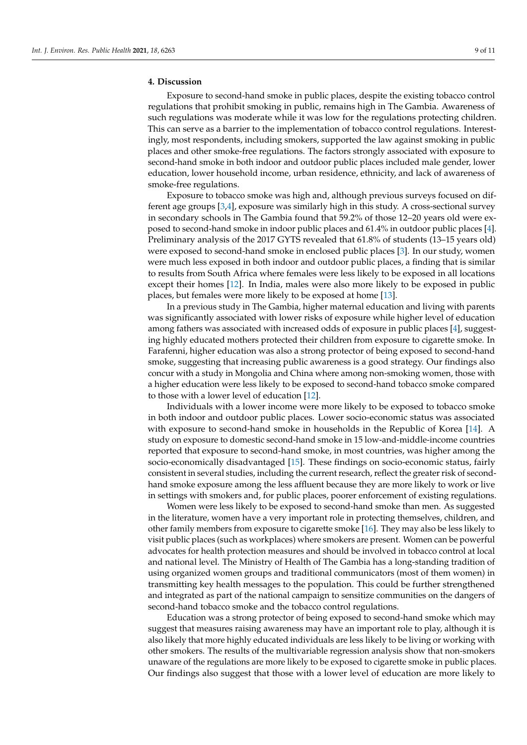# **4. Discussion**

Exposure to second-hand smoke in public places, despite the existing tobacco control regulations that prohibit smoking in public, remains high in The Gambia. Awareness of such regulations was moderate while it was low for the regulations protecting children. This can serve as a barrier to the implementation of tobacco control regulations. Interestingly, most respondents, including smokers, supported the law against smoking in public places and other smoke-free regulations. The factors strongly associated with exposure to second-hand smoke in both indoor and outdoor public places included male gender, lower education, lower household income, urban residence, ethnicity, and lack of awareness of smoke-free regulations.

Exposure to tobacco smoke was high and, although previous surveys focused on different age groups [\[3,](#page-10-2)[4\]](#page-10-3), exposure was similarly high in this study. A cross-sectional survey in secondary schools in The Gambia found that 59.2% of those 12–20 years old were exposed to second-hand smoke in indoor public places and 61.4% in outdoor public places [\[4\]](#page-10-3). Preliminary analysis of the 2017 GYTS revealed that 61.8% of students (13–15 years old) were exposed to second-hand smoke in enclosed public places [\[3\]](#page-10-2). In our study, women were much less exposed in both indoor and outdoor public places, a finding that is similar to results from South Africa where females were less likely to be exposed in all locations except their homes [\[12\]](#page-10-11). In India, males were also more likely to be exposed in public places, but females were more likely to be exposed at home [\[13\]](#page-10-12).

In a previous study in The Gambia, higher maternal education and living with parents was significantly associated with lower risks of exposure while higher level of education among fathers was associated with increased odds of exposure in public places [\[4\]](#page-10-3), suggesting highly educated mothers protected their children from exposure to cigarette smoke. In Farafenni, higher education was also a strong protector of being exposed to second-hand smoke, suggesting that increasing public awareness is a good strategy. Our findings also concur with a study in Mongolia and China where among non-smoking women, those with a higher education were less likely to be exposed to second-hand tobacco smoke compared to those with a lower level of education [\[12\]](#page-10-11).

Individuals with a lower income were more likely to be exposed to tobacco smoke in both indoor and outdoor public places. Lower socio-economic status was associated with exposure to second-hand smoke in households in the Republic of Korea [\[14\]](#page-10-13). A study on exposure to domestic second-hand smoke in 15 low-and-middle-income countries reported that exposure to second-hand smoke, in most countries, was higher among the socio-economically disadvantaged [\[15\]](#page-10-14). These findings on socio-economic status, fairly consistent in several studies, including the current research, reflect the greater risk of secondhand smoke exposure among the less affluent because they are more likely to work or live in settings with smokers and, for public places, poorer enforcement of existing regulations.

Women were less likely to be exposed to second-hand smoke than men. As suggested in the literature, women have a very important role in protecting themselves, children, and other family members from exposure to cigarette smoke [\[16\]](#page-10-15). They may also be less likely to visit public places (such as workplaces) where smokers are present. Women can be powerful advocates for health protection measures and should be involved in tobacco control at local and national level. The Ministry of Health of The Gambia has a long-standing tradition of using organized women groups and traditional communicators (most of them women) in transmitting key health messages to the population. This could be further strengthened and integrated as part of the national campaign to sensitize communities on the dangers of second-hand tobacco smoke and the tobacco control regulations.

Education was a strong protector of being exposed to second-hand smoke which may suggest that measures raising awareness may have an important role to play, although it is also likely that more highly educated individuals are less likely to be living or working with other smokers. The results of the multivariable regression analysis show that non-smokers unaware of the regulations are more likely to be exposed to cigarette smoke in public places. Our findings also suggest that those with a lower level of education are more likely to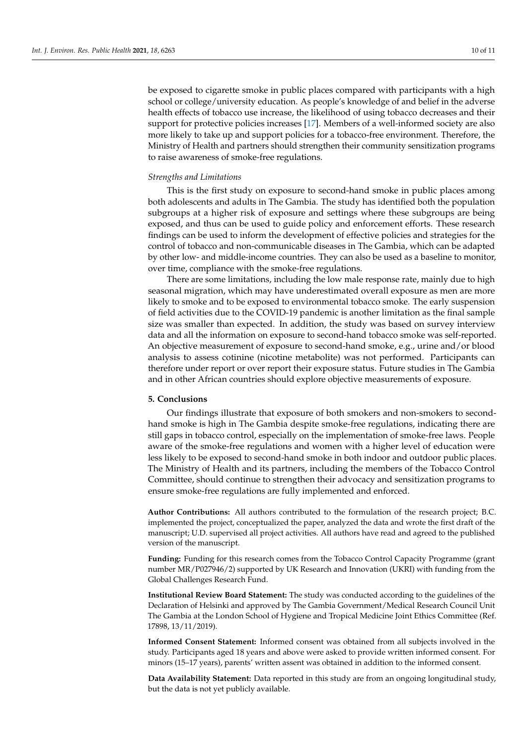be exposed to cigarette smoke in public places compared with participants with a high school or college/university education. As people's knowledge of and belief in the adverse health effects of tobacco use increase, the likelihood of using tobacco decreases and their support for protective policies increases [\[17\]](#page-10-16). Members of a well-informed society are also more likely to take up and support policies for a tobacco-free environment. Therefore, the Ministry of Health and partners should strengthen their community sensitization programs to raise awareness of smoke-free regulations.

#### *Strengths and Limitations*

This is the first study on exposure to second-hand smoke in public places among both adolescents and adults in The Gambia. The study has identified both the population subgroups at a higher risk of exposure and settings where these subgroups are being exposed, and thus can be used to guide policy and enforcement efforts. These research findings can be used to inform the development of effective policies and strategies for the control of tobacco and non-communicable diseases in The Gambia, which can be adapted by other low- and middle-income countries. They can also be used as a baseline to monitor, over time, compliance with the smoke-free regulations.

There are some limitations, including the low male response rate, mainly due to high seasonal migration, which may have underestimated overall exposure as men are more likely to smoke and to be exposed to environmental tobacco smoke. The early suspension of field activities due to the COVID-19 pandemic is another limitation as the final sample size was smaller than expected. In addition, the study was based on survey interview data and all the information on exposure to second-hand tobacco smoke was self-reported. An objective measurement of exposure to second-hand smoke, e.g., urine and/or blood analysis to assess cotinine (nicotine metabolite) was not performed. Participants can therefore under report or over report their exposure status. Future studies in The Gambia and in other African countries should explore objective measurements of exposure.

#### **5. Conclusions**

Our findings illustrate that exposure of both smokers and non-smokers to secondhand smoke is high in The Gambia despite smoke-free regulations, indicating there are still gaps in tobacco control, especially on the implementation of smoke-free laws. People aware of the smoke-free regulations and women with a higher level of education were less likely to be exposed to second-hand smoke in both indoor and outdoor public places. The Ministry of Health and its partners, including the members of the Tobacco Control Committee, should continue to strengthen their advocacy and sensitization programs to ensure smoke-free regulations are fully implemented and enforced.

**Author Contributions:** All authors contributed to the formulation of the research project; B.C. implemented the project, conceptualized the paper, analyzed the data and wrote the first draft of the manuscript; U.D. supervised all project activities. All authors have read and agreed to the published version of the manuscript.

**Funding:** Funding for this research comes from the Tobacco Control Capacity Programme (grant number MR/P027946/2) supported by UK Research and Innovation (UKRI) with funding from the Global Challenges Research Fund.

**Institutional Review Board Statement:** The study was conducted according to the guidelines of the Declaration of Helsinki and approved by The Gambia Government/Medical Research Council Unit The Gambia at the London School of Hygiene and Tropical Medicine Joint Ethics Committee (Ref. 17898, 13/11/2019).

**Informed Consent Statement:** Informed consent was obtained from all subjects involved in the study. Participants aged 18 years and above were asked to provide written informed consent. For minors (15–17 years), parents' written assent was obtained in addition to the informed consent.

**Data Availability Statement:** Data reported in this study are from an ongoing longitudinal study, but the data is not yet publicly available.